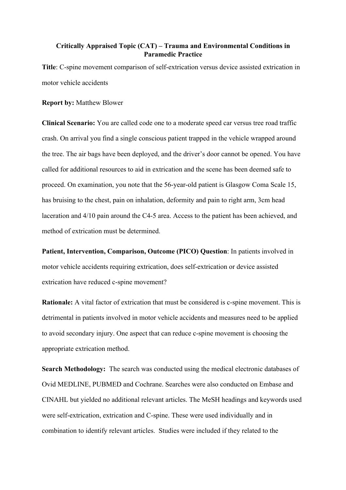## **Critically Appraised Topic (CAT) – Trauma and Environmental Conditions in Paramedic Practice**

**Title**: C-spine movement comparison of self-extrication versus device assisted extrication in motor vehicle accidents

#### **Report by:** Matthew Blower

**Clinical Scenario:** You are called code one to a moderate speed car versus tree road traffic crash. On arrival you find a single conscious patient trapped in the vehicle wrapped around the tree. The air bags have been deployed, and the driver's door cannot be opened. You have called for additional resources to aid in extrication and the scene has been deemed safe to proceed. On examination, you note that the 56-year-old patient is Glasgow Coma Scale 15, has bruising to the chest, pain on inhalation, deformity and pain to right arm, 3cm head laceration and 4/10 pain around the C4-5 area. Access to the patient has been achieved, and method of extrication must be determined.

**Patient, Intervention, Comparison, Outcome (PICO) Question**: In patients involved in motor vehicle accidents requiring extrication, does self-extrication or device assisted extrication have reduced c-spine movement?

**Rationale:** A vital factor of extrication that must be considered is c-spine movement. This is detrimental in patients involved in motor vehicle accidents and measures need to be applied to avoid secondary injury. One aspect that can reduce c-spine movement is choosing the appropriate extrication method.

**Search Methodology:** The search was conducted using the medical electronic databases of Ovid MEDLINE, PUBMED and Cochrane. Searches were also conducted on Embase and CINAHL but yielded no additional relevant articles. The MeSH headings and keywords used were self-extrication, extrication and C-spine. These were used individually and in combination to identify relevant articles. Studies were included if they related to the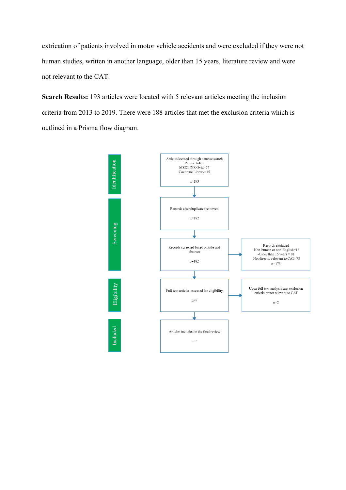extrication of patients involved in motor vehicle accidents and were excluded if they were not human studies, written in another language, older than 15 years, literature review and were not relevant to the CAT.

**Search Results:** 193 articles were located with 5 relevant articles meeting the inclusion criteria from 2013 to 2019. There were 188 articles that met the exclusion criteria which is outlined in a Prisma flow diagram.

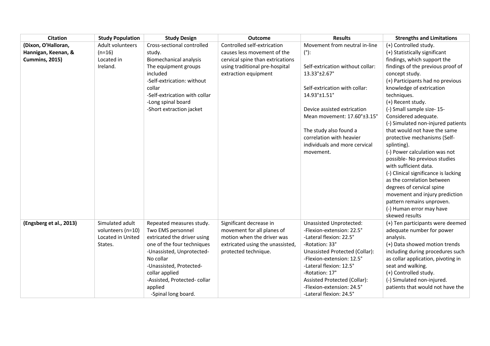| <b>Citation</b>         | <b>Study Population</b> | <b>Study Design</b>           | <b>Outcome</b>                   | <b>Results</b>                        | <b>Strengths and Limitations</b>     |
|-------------------------|-------------------------|-------------------------------|----------------------------------|---------------------------------------|--------------------------------------|
| (Dixon, O'Halloran,     | Adult volunteers        | Cross-sectional controlled    | Controlled self-extrication      | Movement from neutral in-line         | (+) Controlled study.                |
| Hannigan, Keenan, &     | $(n=16)$                | study.                        | causes less movement of the      | $(°)$ :                               | (+) Statistically significant        |
| <b>Cummins, 2015)</b>   | Located in              | <b>Biomechanical analysis</b> | cervical spine than extrications |                                       | findings, which support the          |
|                         | Ireland.                | The equipment groups          | using traditional pre-hospital   | Self-extrication without collar:      | findings of the previous proof of    |
|                         |                         | included                      | extraction equipment             | $13.33^{\circ}$ ±2.67°                | concept study.                       |
|                         |                         | -Self-extrication: without    |                                  |                                       | (+) Participants had no previous     |
|                         |                         | collar                        |                                  | Self-extrication with collar:         | knowledge of extrication             |
|                         |                         | -Self-extrication with collar |                                  | 14.93°±1.51°                          | techniques.                          |
|                         |                         | -Long spinal board            |                                  |                                       | (+) Recent study.                    |
|                         |                         | -Short extraction jacket      |                                  | Device assisted extrication           | (-) Small sample size-15-            |
|                         |                         |                               |                                  | Mean movement: 17.60°±3.15°           | Considered adequate.                 |
|                         |                         |                               |                                  |                                       | (-) Simulated non-injured patients   |
|                         |                         |                               |                                  | The study also found a                | that would not have the same         |
|                         |                         |                               |                                  | correlation with heavier              | protective mechanisms (Self-         |
|                         |                         |                               |                                  | individuals and more cervical         | splinting).                          |
|                         |                         |                               |                                  | movement.                             | (-) Power calculation was not        |
|                         |                         |                               |                                  |                                       | possible- No previous studies        |
|                         |                         |                               |                                  |                                       | with sufficient data.                |
|                         |                         |                               |                                  |                                       | (-) Clinical significance is lacking |
|                         |                         |                               |                                  |                                       | as the correlation between           |
|                         |                         |                               |                                  |                                       | degrees of cervical spine            |
|                         |                         |                               |                                  |                                       | movement and injury prediction       |
|                         |                         |                               |                                  |                                       | pattern remains unproven.            |
|                         |                         |                               |                                  |                                       | (-) Human error may have             |
|                         |                         |                               |                                  |                                       | skewed results                       |
| (Engsberg et al., 2013) | Simulated adult         | Repeated measures study.      | Significant decrease in          | Unassisted Unprotected:               | (+) Ten participants were deemed     |
|                         | volunteers (n=10)       | Two EMS personnel             | movement for all planes of       | -Flexion-extension: 22.5°             | adequate number for power            |
|                         | Located in United       | extricated the driver using   | motion when the driver was       | -Lateral flexion: 22.5°               | analysis.                            |
|                         | States.                 | one of the four techniques    | extricated using the unassisted, | -Rotation: 33°                        | (+) Data showed motion trends        |
|                         |                         | -Unassisted, Unprotected-     | protected technique.             | <b>Unassisted Protected (Collar):</b> | including during procedures such     |
|                         |                         | No collar                     |                                  | -Flexion-extension: 12.5°             | as collar application, pivoting in   |
|                         |                         | -Unassisted, Protected-       |                                  | -Lateral flexion: 12.5°               | seat and walking.                    |
|                         |                         | collar applied                |                                  | -Rotation: 17°                        | (+) Controlled study.                |
|                         |                         | -Assisted, Protected-collar   |                                  | Assisted Protected (Collar):          | (-) Simulated non-injured.           |
|                         |                         | applied                       |                                  | -Flexion-extension: 24.5°             | patients that would not have the     |
|                         |                         | -Spinal long board.           |                                  | -Lateral flexion: 24.5°               |                                      |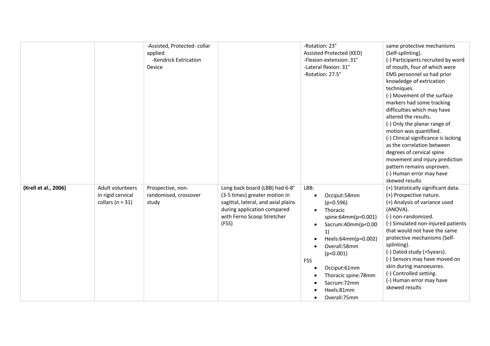|                      |                                                               | -Assisted, Protected-collar<br>applied<br>-Kendrick Extrication<br>Device |                                                                                                                                                                              | -Rotation: 23°<br>Assisted Protected (KED)<br>-Flexion-extension: 31°<br>-Lateral flexion: 31°<br>-Rotation: 27.5°                                                                                                                                                                                           | same protective mechanisms<br>(Self-splinting).<br>(-) Participants recruited by word<br>of mouth, four of which were<br>EMS personnel so had prior<br>knowledge of extrication<br>techniques.<br>(-) Movement of the surface<br>markers had some tracking<br>difficulties which may have<br>altered the results.<br>(-) Only the planar range of<br>motion was quantified.<br>(-) Clinical significance is lacking<br>as the correlation between<br>degrees of cervical spine<br>movement and injury prediction<br>pattern remains unproven.<br>(-) Human error may have<br>skewed results |
|----------------------|---------------------------------------------------------------|---------------------------------------------------------------------------|------------------------------------------------------------------------------------------------------------------------------------------------------------------------------|--------------------------------------------------------------------------------------------------------------------------------------------------------------------------------------------------------------------------------------------------------------------------------------------------------------|---------------------------------------------------------------------------------------------------------------------------------------------------------------------------------------------------------------------------------------------------------------------------------------------------------------------------------------------------------------------------------------------------------------------------------------------------------------------------------------------------------------------------------------------------------------------------------------------|
| (Krell et al., 2006) | Adult volunteers<br>in rigid cervical<br>collars ( $n = 31$ ) | Prospective, non-<br>randomised, crossover<br>study                       | Long back board (LBB) had 6-8°<br>(3-5 times) greater motion in<br>sagittal, lateral, and axial plains<br>during application compared<br>with Ferno Scoop Stretcher<br>(FSS) | LBB:<br>Occiput:58mm<br>$\bullet$<br>$(p=0.596)$<br>Thoracic<br>$\bullet$<br>spine:64mm(p=0.001)<br>Sacrum:40mm(p<0.00<br>$\bullet$<br>1)<br>Heels:64mm(p=0.002)<br>Overall:58mm<br>(p<0.001)<br><b>FSS</b><br>Occiput:61mm<br>Thoracic spine:78mm<br>Sacrum:72mm<br>Heels:81mm<br>Overall:75mm<br>$\bullet$ | (+) Statistically significant data.<br>(+) Prospective nature.<br>(+) Analysis of variance used<br>(ANOVA).<br>(-) non-randomized.<br>(-) Simulated non-injured patients<br>that would not have the same<br>protective mechanisms (Self-<br>splinting).<br>(-) Dated study (>5years).<br>(-) Sensors may have moved on<br>skin during manoeuvres.<br>(-) Controlled setting.<br>(-) Human error may have<br>skewed results                                                                                                                                                                  |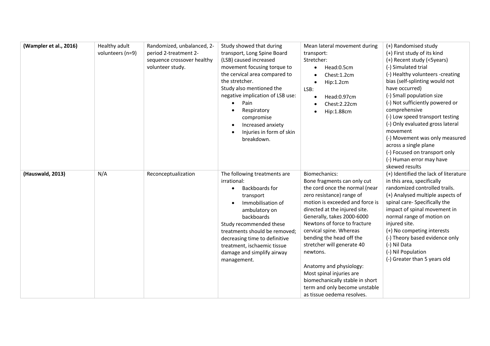| (Wampler et al., 2016) | Healthy adult<br>volunteers (n=9) | Randomized, unbalanced, 2-<br>period 2-treatment 2-<br>sequence crossover healthy<br>volunteer study. | Study showed that during<br>transport, Long Spine Board<br>(LSB) caused increased<br>movement focusing torque to<br>the cervical area compared to<br>the stretcher.<br>Study also mentioned the<br>negative implication of LSB use:<br>Pain<br>$\bullet$<br>Respiratory<br>compromise<br>Increased anxiety<br>$\bullet$<br>Injuries in form of skin<br>breakdown. | Mean lateral movement during<br>transport:<br>Stretcher:<br>Head:0.5cm<br>$\bullet$<br>Chest:1.2cm<br>Hip:1.2cm<br>$\bullet$<br>LSB:<br>Head:0.97cm<br>Chest:2.22cm<br>Hip:1.88cm                                                                                                                                                                                                                                                                                                                       | (+) Randomised study<br>(+) First study of its kind<br>(+) Recent study (<5years)<br>(-) Simulated trial<br>(-) Healthy volunteers -creating<br>bias (self-splinting would not<br>have occurred)<br>(-) Small population size<br>(-) Not sufficiently powered or<br>comprehensive<br>(-) Low speed transport testing<br>(-) Only evaluated gross lateral<br>movement<br>(-) Movement was only measured<br>across a single plane<br>(-) Focused on transport only<br>(-) Human error may have<br>skewed results |
|------------------------|-----------------------------------|-------------------------------------------------------------------------------------------------------|-------------------------------------------------------------------------------------------------------------------------------------------------------------------------------------------------------------------------------------------------------------------------------------------------------------------------------------------------------------------|---------------------------------------------------------------------------------------------------------------------------------------------------------------------------------------------------------------------------------------------------------------------------------------------------------------------------------------------------------------------------------------------------------------------------------------------------------------------------------------------------------|----------------------------------------------------------------------------------------------------------------------------------------------------------------------------------------------------------------------------------------------------------------------------------------------------------------------------------------------------------------------------------------------------------------------------------------------------------------------------------------------------------------|
| (Hauswald, 2013)       | N/A                               | Reconceptualization                                                                                   | The following treatments are<br>irrational:<br>Backboards for<br>$\bullet$<br>transport<br>Immobilisation of<br>ambulatory on<br>backboards<br>Study recommended these<br>treatments should be removed:<br>decreasing time to definitive<br>treatment, ischaemic tissue<br>damage and simplify airway<br>management.                                              | Biomechanics:<br>Bone fragments can only cut<br>the cord once the normal (near<br>zero resistance) range of<br>motion is exceeded and force is<br>directed at the injured site.<br>Generally, takes 2000-6000<br>Newtons of force to fracture<br>cervical spine. Whereas<br>bending the head off the<br>stretcher will generate 40<br>newtons.<br>Anatomy and physiology:<br>Most spinal injuries are<br>biomechanically stable in short<br>term and only become unstable<br>as tissue oedema resolves. | (+) Identified the lack of literature<br>in this area, specifically<br>randomized controlled trails.<br>(+) Analysed multiple aspects of<br>spinal care- Specifically the<br>impact of spinal movement in<br>normal range of motion on<br>injured site.<br>(+) No competing interests<br>(-) Theory based evidence only<br>(-) Nil Data<br>(-) Nil Population<br>(-) Greater than 5 years old                                                                                                                  |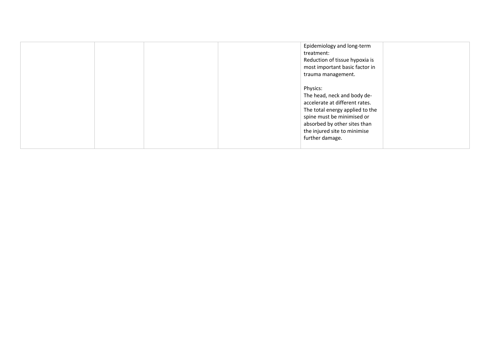| Epidemiology and long-term<br>treatment:<br>Reduction of tissue hypoxia is<br>most important basic factor in<br>trauma management.                                                                                            |
|-------------------------------------------------------------------------------------------------------------------------------------------------------------------------------------------------------------------------------|
| Physics:<br>The head, neck and body de-<br>accelerate at different rates.<br>The total energy applied to the<br>spine must be minimised or<br>absorbed by other sites than<br>the injured site to minimise<br>further damage. |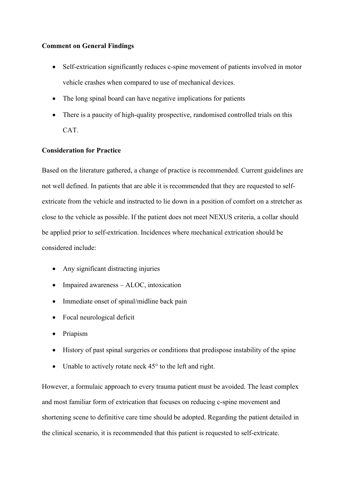#### **Comment on General Findings**

- Self-extrication significantly reduces c-spine movement of patients involved in motor vehicle crashes when compared to use of mechanical devices.
- The long spinal board can have negative implications for patients
- There is a paucity of high-quality prospective, randomised controlled trials on this CAT.

## **Consideration for Practice**

Based on the literature gathered, a change of practice is recommended. Current guidelines are not well defined. In patients that are able it is recommended that they are requested to selfextricate from the vehicle and instructed to lie down in a position of comfort on a stretcher as close to the vehicle as possible. If the patient does not meet NEXUS criteria, a collar should be applied prior to self-extrication. Incidences where mechanical extrication should be considered include:

- Any significant distracting injuries
- Impaired awareness ALOC, intoxication
- Immediate onset of spinal/midline back pain
- Focal neurological deficit
- Priapism
- History of past spinal surgeries or conditions that predispose instability of the spine
- Unable to actively rotate neck 45° to the left and right.

However, a formulaic approach to every trauma patient must be avoided. The least complex and most familiar form of extrication that focuses on reducing c-spine movement and shortening scene to definitive care time should be adopted. Regarding the patient detailed in the clinical scenario, it is recommended that this patient is requested to self-extricate.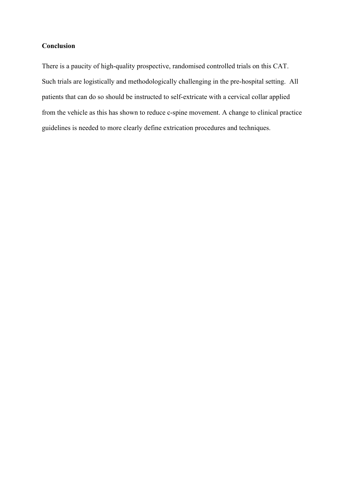# **Conclusion**

There is a paucity of high-quality prospective, randomised controlled trials on this CAT. Such trials are logistically and methodologically challenging in the pre-hospital setting. All patients that can do so should be instructed to self-extricate with a cervical collar applied from the vehicle as this has shown to reduce c-spine movement. A change to clinical practice guidelines is needed to more clearly define extrication procedures and techniques.